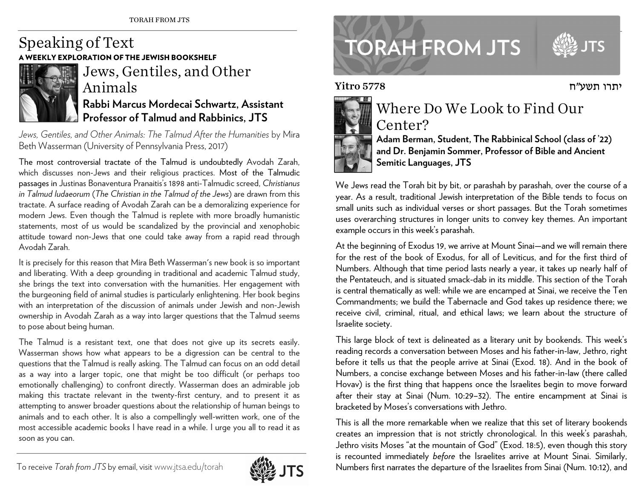## Speaking of Text **XPLORATION OF THE JEWISH BOOKSHELF**



Jews, Gentiles, and Other Animals **Rabbi Marcus Mordecai Schwartz, Assistant Professor of Talmud and Rabbinics, JTS** 

Jews, Gentiles, and Other Animals: The Talmud After the Humanities by Mira Beth Wasserman (University of Pennsylvania Press, 2017)

The most controversial tractate of the Talmud is undoubtedly Avodah Zarah, which discusses non-Jews and their religious practices. Most of the Talmudic passages in Justinas Bonaventura Pranaitis's 1898 anti-Talmudic screed, *Christianus in Talmud Iudaeorum* (*The Christian in the Talmud of the Jews*) are drawn from this tractate. A surface reading of Avodah Zarah can be a demoralizing experience for modern Jews. Even though the Talmud is replete with more broadly humanistic statements, most of us would be scandalized by the provincial and xenophobic attitude toward non-Jews that one could take away from a rapid read through Avodah Zarah.

It is precisely for this reason that Mira Beth Wasserman's new book is so important and liberating. With a deep grounding in traditional and academic Talmud study, she brings the text into conversation with the humanities. Her engagement with the burgeoning field of animal studies is particularly enlightening. Her book begins with an interpretation of the discussion of animals under Jewish and non-Jewish ownership in Avodah Zarah as a way into larger questions that the Talmud seems to pose about being human.

The Talmud is a resistant text, one that does not give up its secrets easily. Wasserman shows how what appears to be a digression can be central to the questions that the Talmud is really asking. The Talmud can focus on an odd detail as a way into a larger topic, one that might be too difficult (or perhaps too emotionally challenging) to confront directly. Wasserman does an admirable job making this tractate relevant in the twenty-first century, and to present it as attempting to answer broader questions about the relationship of human beings to animals and to each other. It is also a compellingly well-written work, one of the most accessible academic books I have read in a while. I urge you all to read it as soon as you can.



## **TORAH FROM JTS**

יתרו תשע"ח

Yitro 5778



## Where Do We Look to Find Our Center?



**Adam Berman, Student, The Rabbinical School (class of '22) and Dr. Benjamin Sommer, Professor of Bible and Ancient Semitic Languages, JTS** 

We Jews read the Torah bit by bit, or parashah by parashah, over the course of a year. As a result, traditional Jewish interpretation of the Bible tends to focus on small units such as individual verses or short passages. But the Torah sometimes uses overarching structures in longer units to convey key themes. An important example occurs in this week's parashah.

At the beginning of Exodus 19, we arrive at Mount Sinai—and we will remain there for the rest of the book of Exodus, for all of Leviticus, and for the first third of Numbers. Although that time period lasts nearly a year, it takes up nearly half of the Pentateuch, and is situated smack-dab in its middle. This section of the Torah is central thematically as well: while we are encamped at Sinai, we receive the Ten Commandments; we build the Tabernacle and God takes up residence there; we receive civil, criminal, ritual, and ethical laws; we learn about the structure of Israelite society.

This large block of text is delineated as a literary unit by bookends. This week's reading records a conversation between Moses and his father-in-law, Jethro, right before it tells us that the people arrive at Sinai (Exod. 18). And in the book of Numbers, a concise exchange between Moses and his father-in-law (there called Hovav) is the first thing that happens once the Israelites begin to move forward after their stay at Sinai (Num. 10:29–32). The entire encampment at Sinai is bracketed by Moses's conversations with Jethro.

This is all the more remarkable when we realize that this set of literary bookends creates an impression that is not strictly chronological. In this week's parashah, Jethro visits Moses "at the mountain of God" (Exod. 18:5), even though this story is recounted immediately *before* the Israelites arrive at Mount Sinai. Similarly, Numbers first narrates the departure of the Israelites from Sinai (Num. 10:12), and